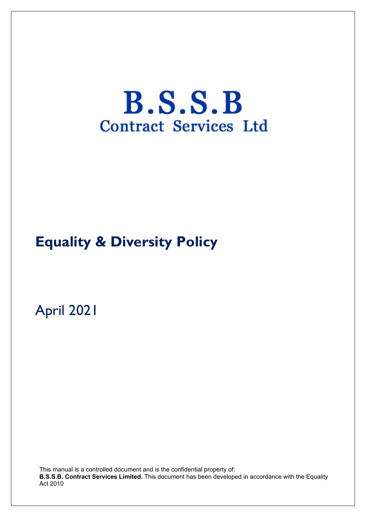# $B.S.S.B$ **Contract Services Ltd**

# **Equality & Diversity Policy**

April 2021

This manual is a controlled document and is the confidential property of: **B.S.S.B. Contract Services Limited.** This document has been developed in accordance with the Equality Act 2010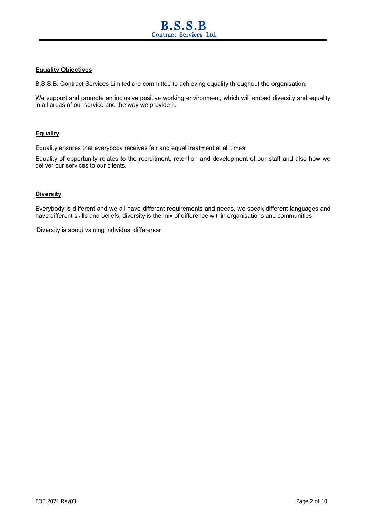#### **Equality Objectives**

B.S.S.B. Contract Services Limited are committed to achieving equality throughout the organisation.

We support and promote an inclusive positive working environment, which will embed diversity and equality in all areas of our service and the way we provide it.

#### **Equality**

Equality ensures that everybody receives fair and equal treatment at all times.

Equality of opportunity relates to the recruitment, retention and development of our staff and also how we deliver our services to our clients.

#### **Diversity**

Everybody is different and we all have different requirements and needs, we speak different languages and have different skills and beliefs, diversity is the mix of difference within organisations and communities.

'Diversity is about valuing individual difference'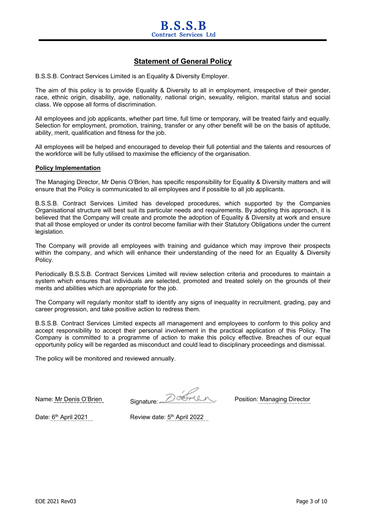### **Statement of General Policy**

B.S.S.B. Contract Services Limited is an Equality & Diversity Employer.

The aim of this policy is to provide Equality & Diversity to all in employment, irrespective of their gender, race, ethnic origin, disability, age, nationality, national origin, sexuality, religion, marital status and social class. We oppose all forms of discrimination.

All employees and job applicants, whether part time, full time or temporary, will be treated fairly and equally. Selection for employment, promotion, training, transfer or any other benefit will be on the basis of aptitude, ability, merit, qualification and fitness for the job.

All employees will be helped and encouraged to develop their full potential and the talents and resources of the workforce will be fully utilised to maximise the efficiency of the organisation.

#### **Policy Implementation**

The Managing Director, Mr Denis O'Brien, has specific responsibility for Equality & Diversity matters and will ensure that the Policy is communicated to all employees and if possible to all job applicants.

B.S.S.B. Contract Services Limited has developed procedures, which supported by the Companies Organisational structure will best suit its particular needs and requirements. By adopting this approach, it is believed that the Company will create and promote the adoption of Equality & Diversity at work and ensure that all those employed or under its control become familiar with their Statutory Obligations under the current legislation.

The Company will provide all employees with training and guidance which may improve their prospects within the company, and which will enhance their understanding of the need for an Equality & Diversity Policy.

Periodically B.S.S.B. Contract Services Limited will review selection criteria and procedures to maintain a system which ensures that individuals are selected, promoted and treated solely on the grounds of their merits and abilities which are appropriate for the job.

The Company will regularly monitor staff to identify any signs of inequality in recruitment, grading, pay and career progression, and take positive action to redress them.

B.S.S.B. Contract Services Limited expects all management and employees to conform to this policy and accept responsibility to accept their personal involvement in the practical application of this Policy. The Company is committed to a programme of action to make this policy effective. Breaches of our equal opportunity policy will be regarded as misconduct and could lead to disciplinary proceedings and dismissal.

The policy will be monitored and reviewed annually.

Name: Mr Denis O'Brien Signature: 2002/04/10 Position: Managing Director

Date: 6<sup>th</sup> April 2021 Review date: 5<sup>th</sup> April 2022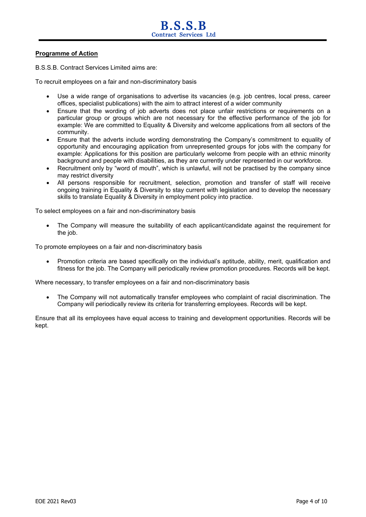#### **Programme of Action**

B.S.S.B. Contract Services Limited aims are:

To recruit employees on a fair and non-discriminatory basis

- Use a wide range of organisations to advertise its vacancies (e.g. job centres, local press, career offices, specialist publications) with the aim to attract interest of a wider community
- Ensure that the wording of job adverts does not place unfair restrictions or requirements on a particular group or groups which are not necessary for the effective performance of the job for example: We are committed to Equality & Diversity and welcome applications from all sectors of the community.
- Ensure that the adverts include wording demonstrating the Company's commitment to equality of opportunity and encouraging application from unrepresented groups for jobs with the company for example: Applications for this position are particularly welcome from people with an ethnic minority background and people with disabilities, as they are currently under represented in our workforce.
- Recruitment only by "word of mouth", which is unlawful, will not be practised by the company since may restrict diversity
- All persons responsible for recruitment, selection, promotion and transfer of staff will receive ongoing training in Equality & Diversity to stay current with legislation and to develop the necessary skills to translate Equality & Diversity in employment policy into practice.

To select employees on a fair and non-discriminatory basis

• The Company will measure the suitability of each applicant/candidate against the requirement for the job.

To promote employees on a fair and non-discriminatory basis

• Promotion criteria are based specifically on the individual's aptitude, ability, merit, qualification and fitness for the job. The Company will periodically review promotion procedures. Records will be kept.

Where necessary, to transfer employees on a fair and non-discriminatory basis

• The Company will not automatically transfer employees who complaint of racial discrimination. The Company will periodically review its criteria for transferring employees. Records will be kept.

Ensure that all its employees have equal access to training and development opportunities. Records will be kept.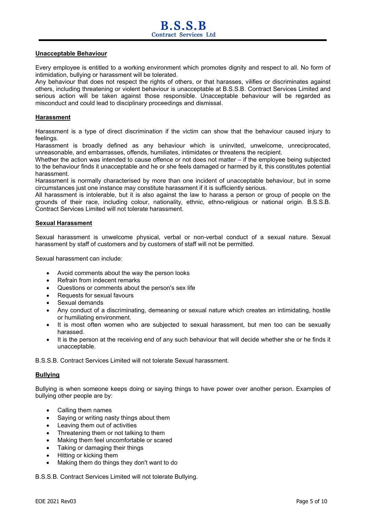#### **Unacceptable Behaviour**

Every employee is entitled to a working environment which promotes dignity and respect to all. No form of intimidation, bullying or harassment will be tolerated.

Any behaviour that does not respect the rights of others, or that harasses, vilifies or discriminates against others, including threatening or violent behaviour is unacceptable at B.S.S.B. Contract Services Limited and serious action will be taken against those responsible. Unacceptable behaviour will be regarded as misconduct and could lead to disciplinary proceedings and dismissal.

#### **Harassment**

Harassment is a type of direct discrimination if the victim can show that the behaviour caused injury to feelings.

Harassment is broadly defined as any behaviour which is uninvited, unwelcome, unreciprocated, unreasonable, and embarrasses, offends, humiliates, intimidates or threatens the recipient.

Whether the action was intended to cause offence or not does not matter – if the employee being subjected to the behaviour finds it unacceptable and he or she feels damaged or harmed by it, this constitutes potential harassment.

Harassment is normally characterised by more than one incident of unacceptable behaviour, but in some circumstances just one instance may constitute harassment if it is sufficiently serious.

All harassment is intolerable, but it is also against the law to harass a person or group of people on the grounds of their race, including colour, nationality, ethnic, ethno-religious or national origin. B.S.S.B. Contract Services Limited will not tolerate harassment.

#### **Sexual Harassment**

Sexual harassment is unwelcome physical, verbal or non-verbal conduct of a sexual nature. Sexual harassment by staff of customers and by customers of staff will not be permitted.

Sexual harassment can include:

- Avoid comments about the way the person looks
- Refrain from indecent remarks
- Questions or comments about the person's sex life
- Requests for sexual favours
- Sexual demands
- Any conduct of a discriminating, demeaning or sexual nature which creates an intimidating, hostile or humiliating environment.
- It is most often women who are subjected to sexual harassment, but men too can be sexually harassed.
- It is the person at the receiving end of any such behaviour that will decide whether she or he finds it unacceptable.

B.S.S.B. Contract Services Limited will not tolerate Sexual harassment.

#### **Bullying**

Bullying is when someone keeps doing or saying things to have power over another person. Examples of bullying other people are by:

- Calling them names
- Saying or writing nasty things about them
- Leaving them out of activities
- Threatening them or not talking to them
- Making them feel uncomfortable or scared
- Taking or damaging their things
- Hitting or kicking them
- Making them do things they don't want to do

B.S.S.B. Contract Services Limited will not tolerate Bullying.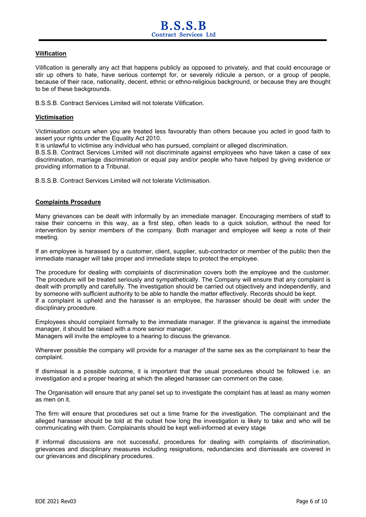#### **Vilification**

Vilification is generally any act that happens publicly as opposed to privately, and that could encourage or stir up others to hate, have serious contempt for, or severely ridicule a person, or a group of people, because of their race, nationality, decent, ethnic or ethno-religious background, or because they are thought to be of these backgrounds.

B.S.S.B. Contract Services Limited will not tolerate Vilification.

#### **Victimisation**

Victimisation occurs when you are treated less favourably than others because you acted in good faith to assert your rights under the Equality Act 2010.

It is unlawful to victimise any individual who has pursued, complaint or alleged discrimination.

B.S.S.B. Contract Services Limited will not discriminate against employees who have taken a case of sex discrimination, marriage discrimination or equal pay and/or people who have helped by giving evidence or providing information to a Tribunal.

B.S.S.B. Contract Services Limited will not tolerate Victimisation.

#### **Complaints Procedure**

Many grievances can be dealt with informally by an immediate manager. Encouraging members of staff to raise their concerns in this way, as a first step, often leads to a quick solution, without the need for intervention by senior members of the company. Both manager and employee will keep a note of their meeting.

If an employee is harassed by a customer, client, supplier, sub-contractor or member of the public then the immediate manager will take proper and immediate steps to protect the employee.

The procedure for dealing with complaints of discrimination covers both the employee and the customer. The procedure will be treated seriously and sympathetically. The Company will ensure that any complaint is dealt with promptly and carefully. The investigation should be carried out objectively and independently, and by someone with sufficient authority to be able to handle the matter effectively. Records should be kept. If a complaint is upheld and the harasser is an employee, the harasser should be dealt with under the disciplinary procedure.

Employees should complaint formally to the immediate manager. If the grievance is against the immediate manager, it should be raised with a more senior manager.

Managers will invite the employee to a hearing to discuss the grievance.

Wherever possible the company will provide for a manager of the same sex as the complainant to hear the complaint.

If dismissal is a possible outcome, it is important that the usual procedures should be followed i.e. an investigation and a proper hearing at which the alleged harasser can comment on the case.

The Organisation will ensure that any panel set up to investigate the complaint has at least as many women as men on it.

The firm will ensure that procedures set out a time frame for the investigation. The complainant and the alleged harasser should be told at the outset how long the investigation is likely to take and who will be communicating with them. Complainants should be kept well-informed at every stage

If informal discussions are not successful, procedures for dealing with complaints of discrimination, grievances and disciplinary measures including resignations, redundancies and dismissals are covered in our grievances and disciplinary procedures.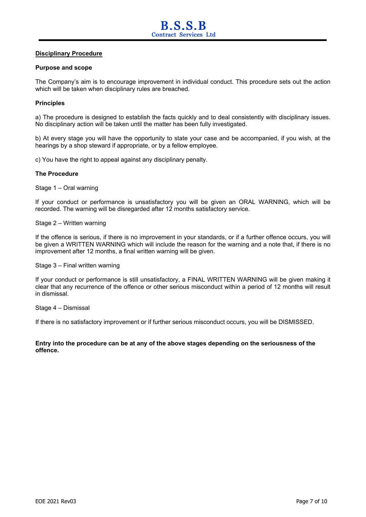#### **Disciplinary Procedure**

#### **Purpose and scope**

The Company's aim is to encourage improvement in individual conduct. This procedure sets out the action which will be taken when disciplinary rules are breached.

#### **Principles**

a) The procedure is designed to establish the facts quickly and to deal consistently with disciplinary issues. No disciplinary action will be taken until the matter has been fully investigated.

b) At every stage you will have the opportunity to state your case and be accompanied, if you wish, at the hearings by a shop steward if appropriate, or by a fellow employee.

c) You have the right to appeal against any disciplinary penalty.

#### **The Procedure**

Stage 1 – Oral warning

If your conduct or performance is unsatisfactory you will be given an ORAL WARNING, which will be recorded. The warning will be disregarded after 12 months satisfactory service.

Stage 2 – Written warning

If the offence is serious, if there is no improvement in your standards, or if a further offence occurs, you will be given a WRITTEN WARNING which will include the reason for the warning and a note that, if there is no improvement after 12 months, a final written warning will be given.

Stage 3 – Final written warning

If your conduct or performance is still unsatisfactory, a FINAL WRITTEN WARNING will be given making it clear that any recurrence of the offence or other serious misconduct within a period of 12 months will result in dismissal.

Stage 4 – Dismissal

If there is no satisfactory improvement or if further serious misconduct occurs, you will be DISMISSED.

**Entry into the procedure can be at any of the above stages depending on the seriousness of the offence.**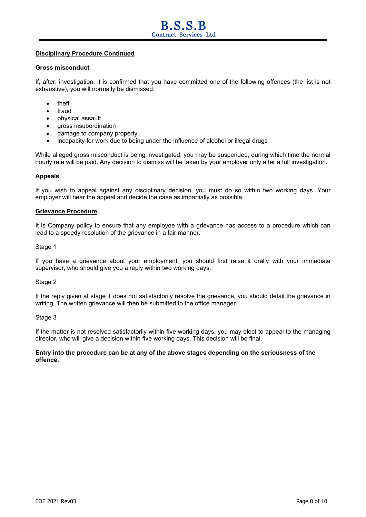#### **Disciplinary Procedure Continued**

#### **Gross misconduct**

If, after, investigation, it is confirmed that you have committed one of the following offences (the list is not exhaustive), you will normally be dismissed:

- theft
- fraud
- physical assault
- gross insubordination
- damage to company property
- incapacity for work due to being under the influence of alcohol or illegal drugs

While alleged gross misconduct is being investigated, you may be suspended, during which time the normal hourly rate will be paid. Any decision to dismiss will be taken by your employer only after a full investigation.

#### **Appeals**

If you wish to appeal against any disciplinary decision, you must do so within two working days. Your employer will hear the appeal and decide the case as impartially as possible.

#### **Grievance Procedure**

It is Company policy to ensure that any employee with a grievance has access to a procedure which can lead to a speedy resolution of the grievance in a fair manner.

#### Stage 1

If you have a grievance about your employment, you should first raise it orally with your immediate supervisor, who should give you a reply within two working days.

#### Stage 2

If the reply given at stage 1 does not satisfactorily resolve the grievance, you should detail the grievance in writing. The written grievance will then be submitted to the office manager.

#### Stage 3

.

If the matter is not resolved satisfactorily within five working days, you may elect to appeal to the managing director, who will give a decision within five working days. This decision will be final.

#### **Entry into the procedure can be at any of the above stages depending on the seriousness of the offence.**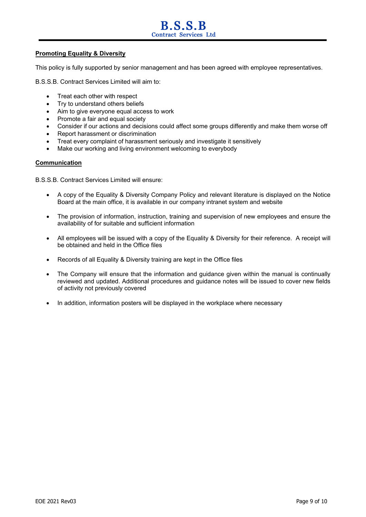## **B.S.S.B Contract Services Ltd**

#### **Promoting Equality & Diversity**

This policy is fully supported by senior management and has been agreed with employee representatives.

B.S.S.B. Contract Services Limited will aim to:

- Treat each other with respect
- Try to understand others beliefs
- Aim to give everyone equal access to work
- Promote a fair and equal society
- Consider if our actions and decisions could affect some groups differently and make them worse off
- Report harassment or discrimination
- Treat every complaint of harassment seriously and investigate it sensitively
- Make our working and living environment welcoming to everybody

#### **Communication**

B.S.S.B. Contract Services Limited will ensure:

- A copy of the Equality & Diversity Company Policy and relevant literature is displayed on the Notice Board at the main office, it is available in our company intranet system and website
- The provision of information, instruction, training and supervision of new employees and ensure the availability of for suitable and sufficient information
- All employees will be issued with a copy of the Equality & Diversity for their reference. A receipt will be obtained and held in the Office files
- Records of all Equality & Diversity training are kept in the Office files
- The Company will ensure that the information and guidance given within the manual is continually reviewed and updated. Additional procedures and guidance notes will be issued to cover new fields of activity not previously covered
- In addition, information posters will be displayed in the workplace where necessary